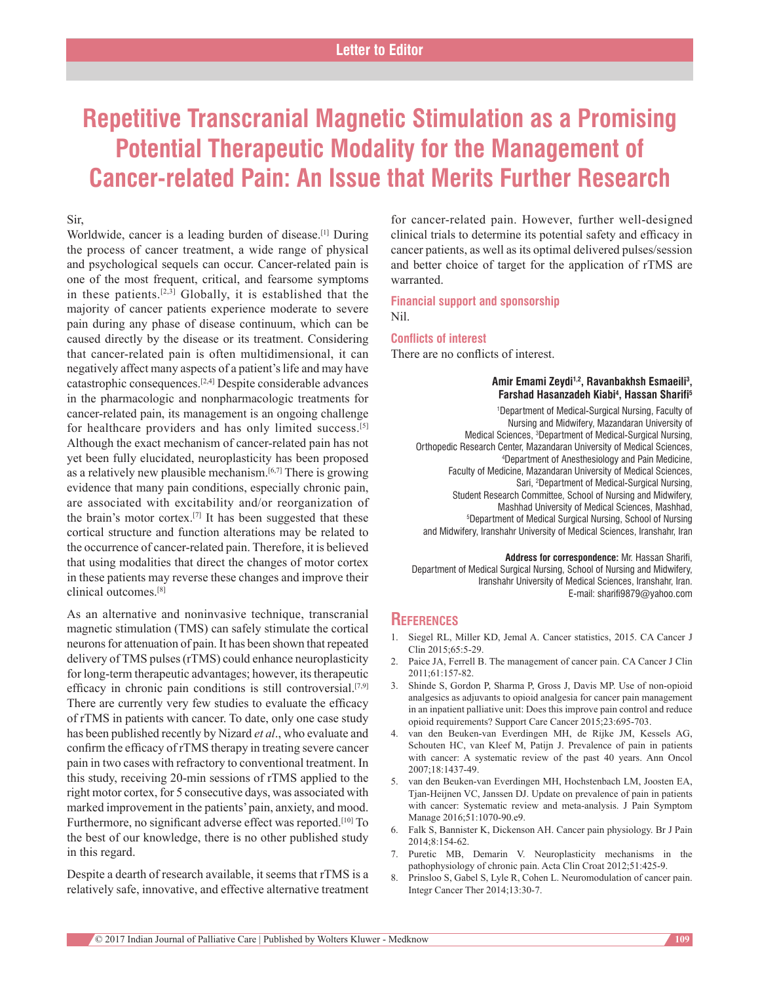# **Repetitive Transcranial Magnetic Stimulation as a Promising Potential Therapeutic Modality for the Management of Cancer‑related Pain: An Issue that Merits Further Research**

### Sir,

Worldwide, cancer is a leading burden of disease.<sup>[1]</sup> During the process of cancer treatment, a wide range of physical and psychological sequels can occur. Cancer-related pain is one of the most frequent, critical, and fearsome symptoms in these patients.<sup>[2,3]</sup> Globally, it is established that the majority of cancer patients experience moderate to severe pain during any phase of disease continuum, which can be caused directly by the disease or its treatment. Considering that cancer‑related pain is often multidimensional, it can negatively affect many aspects of a patient's life and may have catastrophic consequences.[2,4] Despite considerable advances in the pharmacologic and nonpharmacologic treatments for cancer‑related pain, its management is an ongoing challenge for healthcare providers and has only limited success.[5] Although the exact mechanism of cancer‑related pain has not yet been fully elucidated, neuroplasticity has been proposed as a relatively new plausible mechanism.<sup>[6,7]</sup> There is growing evidence that many pain conditions, especially chronic pain, are associated with excitability and/or reorganization of the brain's motor cortex.[7] It has been suggested that these cortical structure and function alterations may be related to the occurrence of cancer-related pain. Therefore, it is believed that using modalities that direct the changes of motor cortex in these patients may reverse these changes and improve their clinical outcomes.[8]

As an alternative and noninvasive technique, transcranial magnetic stimulation (TMS) can safely stimulate the cortical neurons for attenuation of pain. It has been shown that repeated delivery of TMS pulses (rTMS) could enhance neuroplasticity for long-term therapeutic advantages; however, its therapeutic efficacy in chronic pain conditions is still controversial.[7,9] There are currently very few studies to evaluate the efficacy of rTMS in patients with cancer. To date, only one case study has been published recently by Nizard *et al*., who evaluate and confirm the efficacy of rTMS therapy in treating severe cancer pain in two cases with refractory to conventional treatment. In this study, receiving 20‑min sessions of rTMS applied to the right motor cortex, for 5 consecutive days, was associated with marked improvement in the patients' pain, anxiety, and mood. Furthermore, no significant adverse effect was reported.<sup>[10]</sup> To the best of our knowledge, there is no other published study in this regard.

Despite a dearth of research available, it seems that rTMS is a relatively safe, innovative, and effective alternative treatment for cancer-related pain. However, further well-designed clinical trials to determine its potential safety and efficacy in cancer patients, as well as its optimal delivered pulses/session and better choice of target for the application of rTMS are warranted.

**Financial support and sponsorship** Nil.

#### **Conflicts of interest**

There are no conflicts of interest.

#### **Amir Emami Zeydi1,2, Ravanbakhsh Esmaeili3 , Farshad Hasanzadeh Kiabi4 , Hassan Sharifi5**

1 Department of Medical‑Surgical Nursing, Faculty of Nursing and Midwifery, Mazandaran University of Medical Sciences, 3 Department of Medical‑Surgical Nursing, Orthopedic Research Center, Mazandaran University of Medical Sciences, 4 Department of Anesthesiology and Pain Medicine, Faculty of Medicine, Mazandaran University of Medical Sciences, Sari, 2 Department of Medical‑Surgical Nursing, Student Research Committee, School of Nursing and Midwifery, Mashhad University of Medical Sciences, Mashhad, 5 Department of Medical Surgical Nursing, School of Nursing and Midwifery, Iranshahr University of Medical Sciences, Iranshahr, Iran

**Address for correspondence:** Mr. Hassan Sharifi, Department of Medical Surgical Nursing, School of Nursing and Midwifery, Iranshahr University of Medical Sciences, Iranshahr, Iran. E‑mail: sharifi9879@yahoo.com

## **References**

- 1. Siegel RL, Miller KD, Jemal A. Cancer statistics, 2015. CA Cancer J Clin 2015;65:5‑29.
- 2. Paice JA, Ferrell B. The management of cancer pain. CA Cancer J Clin 2011;61:157‑82.
- 3. Shinde S, Gordon P, Sharma P, Gross J, Davis MP. Use of non‑opioid analgesics as adjuvants to opioid analgesia for cancer pain management in an inpatient palliative unit: Does this improve pain control and reduce opioid requirements? Support Care Cancer 2015;23:695‑703.
- 4. van den Beuken‑van Everdingen MH, de Rijke JM, Kessels AG, Schouten HC, van Kleef M, Patijn J. Prevalence of pain in patients with cancer: A systematic review of the past 40 years. Ann Oncol 2007;18:1437‑49.
- 5. van den Beuken-van Everdingen MH, Hochstenbach LM, Joosten EA, Tjan‑Heijnen VC, Janssen DJ. Update on prevalence of pain in patients with cancer: Systematic review and meta-analysis. J Pain Symptom Manage 2016;51:1070-90.e9.
- 6. Falk S, Bannister K, Dickenson AH. Cancer pain physiology. Br J Pain 2014;8:154‑62.
- 7. Puretic MB, Demarin V. Neuroplasticity mechanisms in the pathophysiology of chronic pain. Acta Clin Croat 2012;51:425-9.
- 8. Prinsloo S, Gabel S, Lyle R, Cohen L. Neuromodulation of cancer pain. Integr Cancer Ther 2014;13:30‑7.